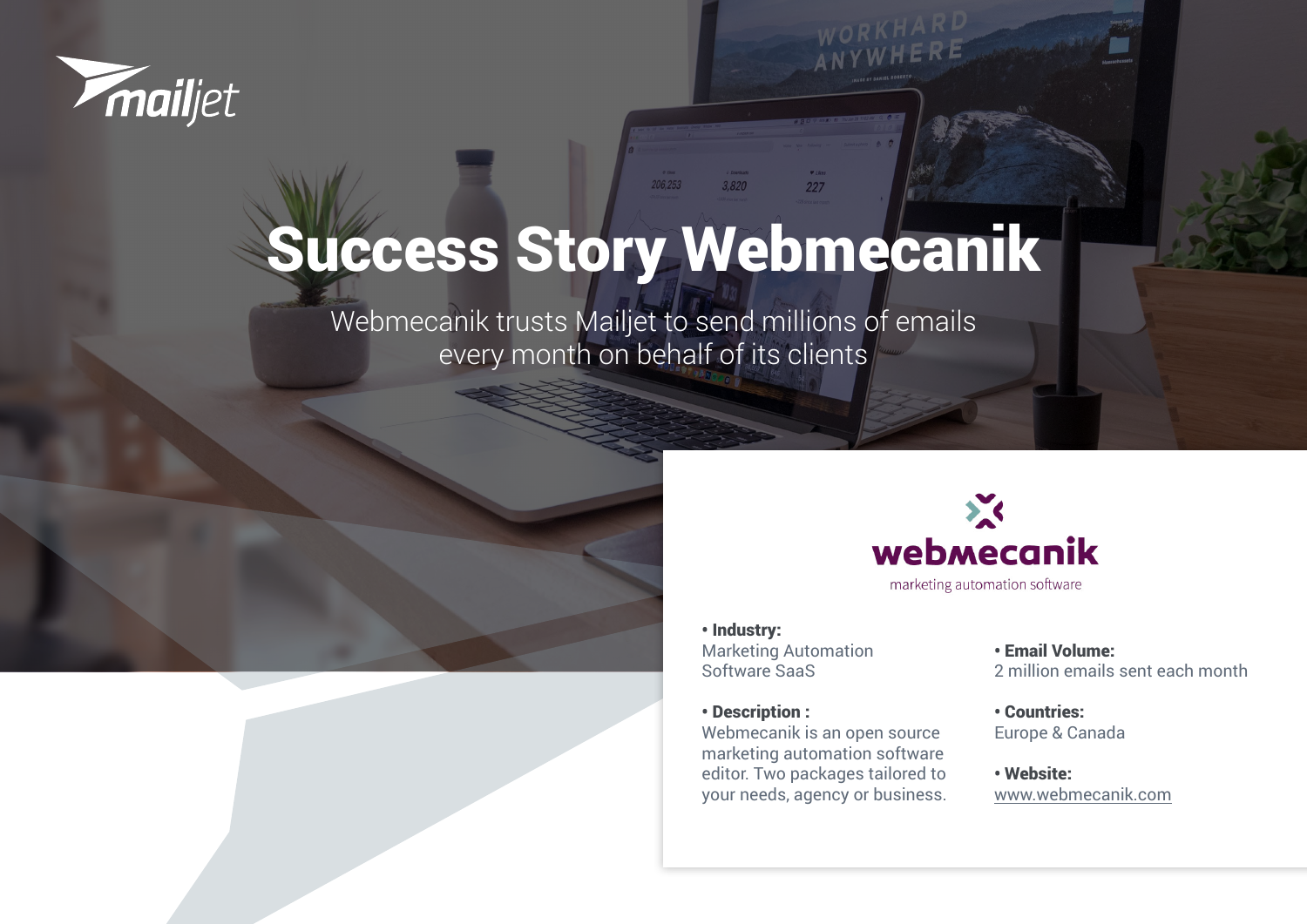

# Success Story Webmecanik

206,253

3,820

227

Webmecanik trusts Mailjet to send millions of emails every month on behalf of its clients





• Industry: Marketing Automation Software SaaS

• Description :

Webmecanik is an open source marketing automation software editor. Two packages tailored to your needs, agency or business.

• Email Volume: 2 million emails sent each month

• Countries: Europe & Canada

• Website: [www.webmecanik.com](https://www.webmecanik.com/fr/)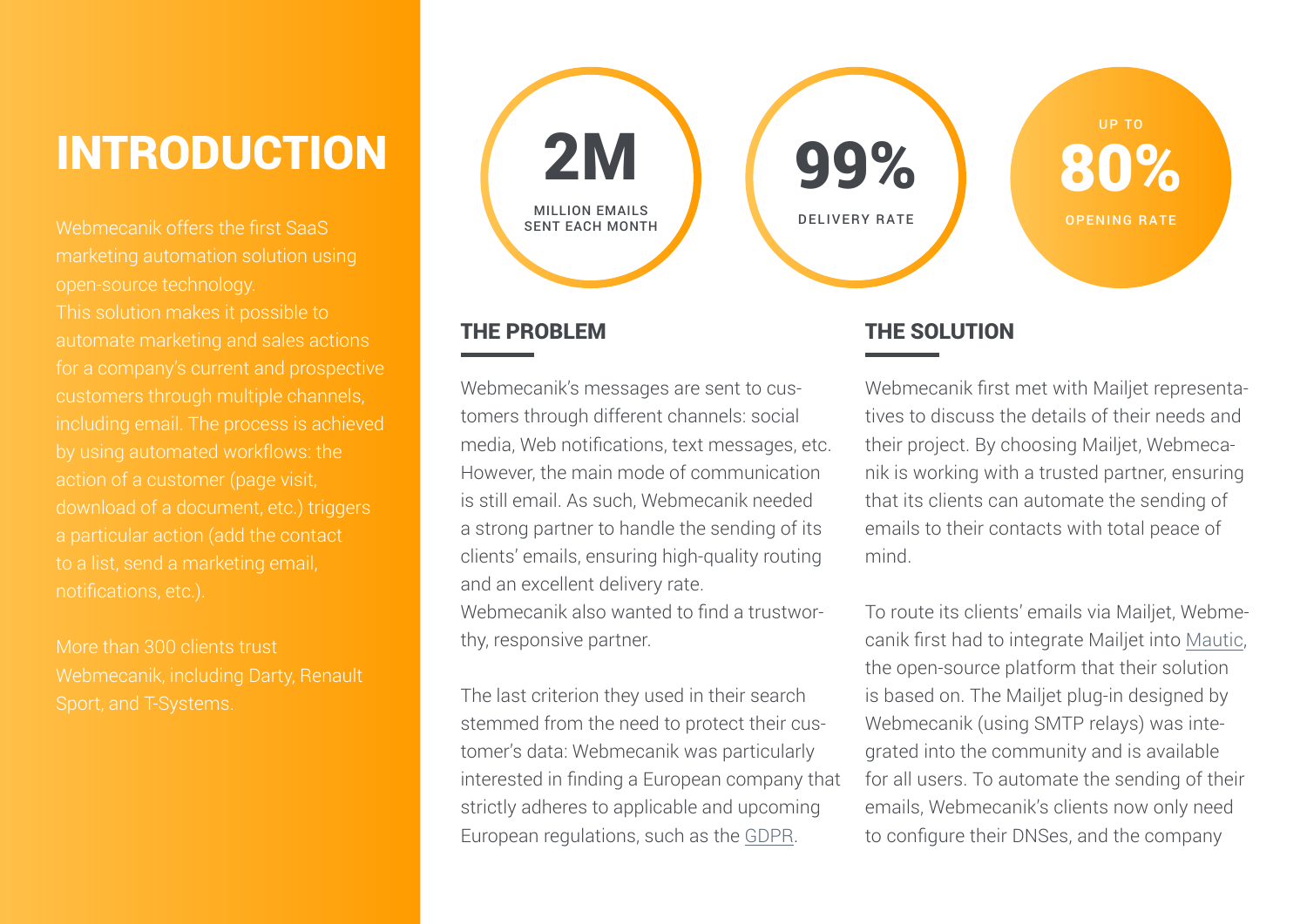## INTRODUCTION

Webmecanik offers the first SaaS This solution makes it possible to automate marketing and sales actions for a company's current and prospective customers through multiple channels, including email. The process is achieved by using automated workflows: the action of a customer (page visit, download of a document, etc.) triggers a particular action (add the contact notifications, etc.).

More than 300 clients trust



#### THE PROBLEM

Webmecanik's messages are sent to customers through different channels: social media, Web notifications, text messages, etc. However, the main mode of communication is still email. As such, Webmecanik needed a strong partner to handle the sending of its clients' emails, ensuring high-quality routing and an excellent delivery rate. Webmecanik also wanted to find a trustwor-

thy, responsive partner.

The last criterion they used in their search stemmed from the need to protect their customer's data: Webmecanik was particularly interested in finding a European company that strictly adheres to applicable and upcoming European regulations, such as the [GDPR](https://fr.mailjet.com/rgpd/).

### THE SOLUTION

Webmecanik first met with Mailjet representatives to discuss the details of their needs and their project. By choosing Mailjet, Webmecanik is working with a trusted partner, ensuring that its clients can automate the sending of emails to their contacts with total peace of mind.

To route its clients' emails via Mailjet, Webmecanik first had to integrate Mailjet into [Mautic,](https://www.mailjet.com/integrations/mautic/) the open-source platform that their solution is based on. The Mailjet plug-in designed by Webmecanik (using SMTP relays) was integrated into the community and is available for all users. To automate the sending of their emails, Webmecanik's clients now only need to configure their DNSes, and the company